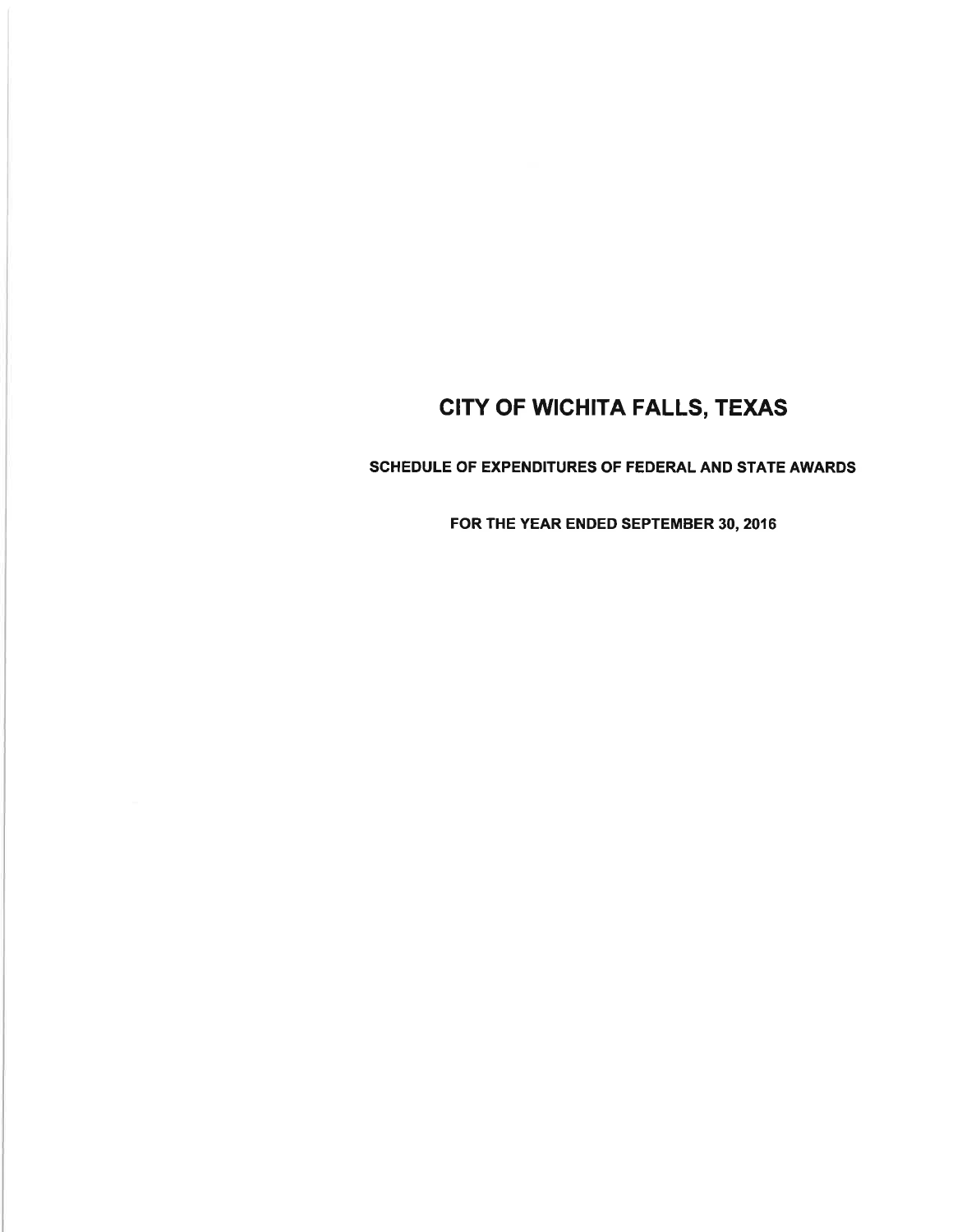SCHEDULE OF EXPENDITURES OF FEDERAL AND STATE AWARDS

FOR THE YEAR ENDED SEPTEMBER 30, 2016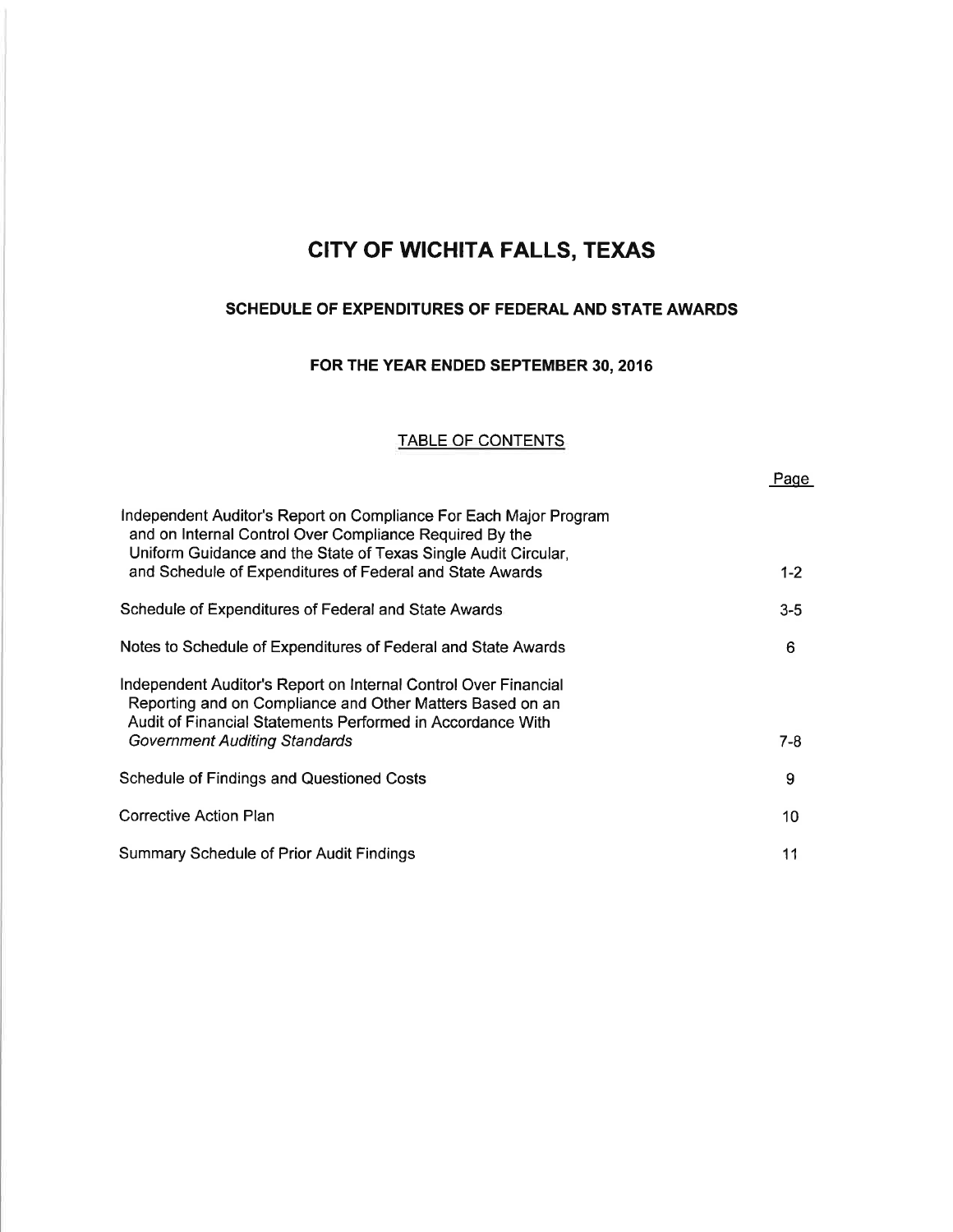### SCHEDULE OF EXPENDITURES OF FEDERAL AND STATE AWARDS

## FOR THE YEAR ENDED SEPTEMBER 30,2016

#### TABLE OF CONTENTS

Paqe

| Independent Auditor's Report on Compliance For Each Major Program<br>and on Internal Control Over Compliance Required By the                                                               |         |
|--------------------------------------------------------------------------------------------------------------------------------------------------------------------------------------------|---------|
| Uniform Guidance and the State of Texas Single Audit Circular,<br>and Schedule of Expenditures of Federal and State Awards                                                                 | $1 - 2$ |
| Schedule of Expenditures of Federal and State Awards                                                                                                                                       | $3 - 5$ |
| Notes to Schedule of Expenditures of Federal and State Awards                                                                                                                              | 6       |
| Independent Auditor's Report on Internal Control Over Financial<br>Reporting and on Compliance and Other Matters Based on an<br>Audit of Financial Statements Performed in Accordance With |         |
| <b>Government Auditing Standards</b>                                                                                                                                                       | $7 - 8$ |
| <b>Schedule of Findings and Questioned Costs</b>                                                                                                                                           | 9       |
| <b>Corrective Action Plan</b>                                                                                                                                                              | 10      |
| Summary Schedule of Prior Audit Findings                                                                                                                                                   | 11      |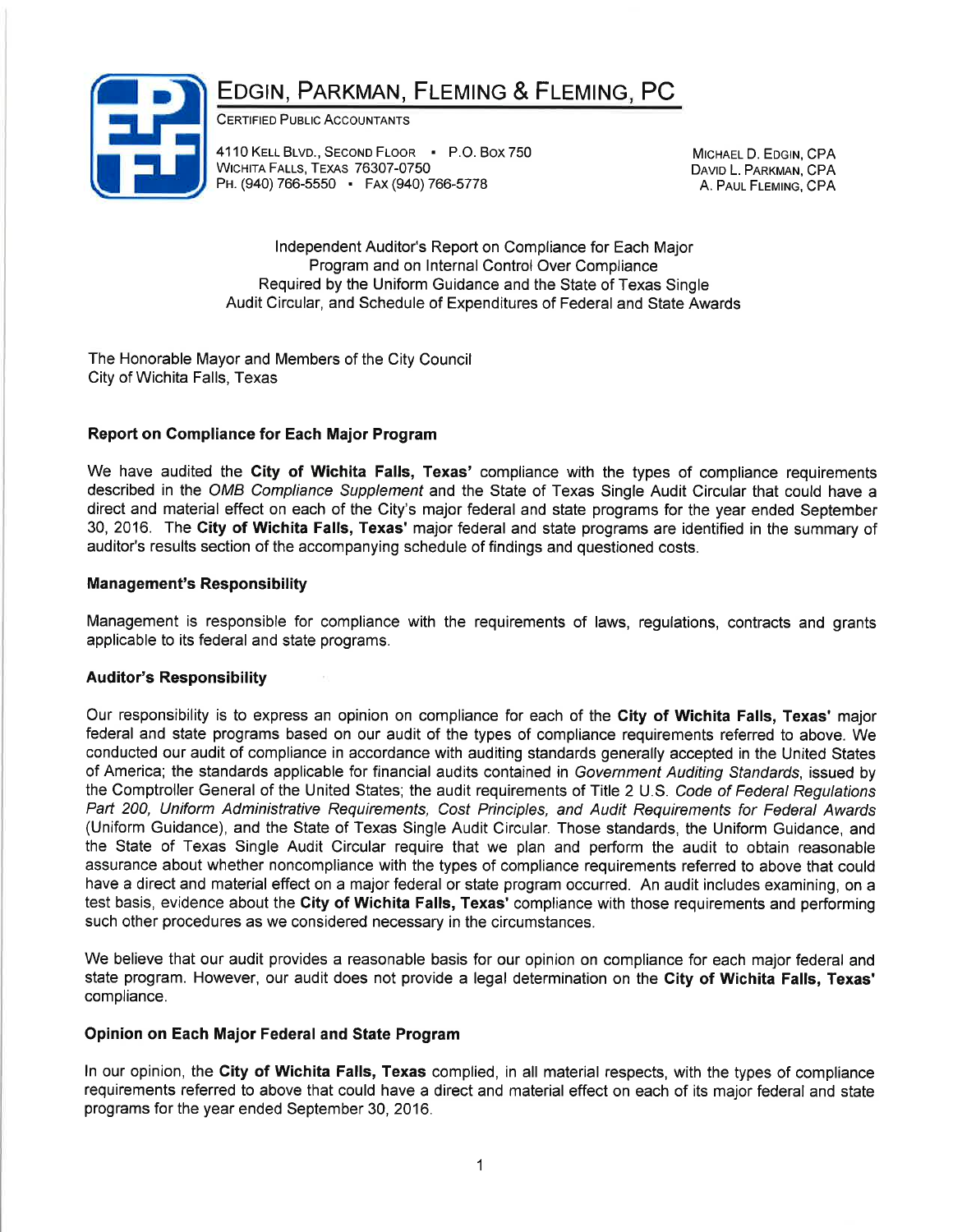# EDGIN, PARKMAN, FLEMING & FLEMING, PC



CERTIFIED PUBLIC ACCOUNTANTS

4110 KELL BLVD., SECOND FLOOR · P.O. BOX 750 WICHITA FALLS, TEXAS 76307-0750 PH. (940) 766-5550 · FAX (940) 766-5778

MICHAEL D. EDGIN, CPA DAVID L. PARKMAN, CPA A. PAUL FLEMING, CPA

lndependent Auditor's Report on Compliance for Each Major Program and on lnternal Control Over Compliance Required by the Uniform Guidance and the State of Texas Single Audit Circular, and Schedule of Expenditures of Federal and State Awards

The Honorable Mayor and Members of the City Council City of Wichita Falls, Texas

## Report on Gompliance for Each Major Program

We have audited the City of Wichita Falls, Texas' compliance with the types of compliance requirements described in the OMB Compliance Supplement and the State of Texas Single Audit Circular that could have a direct and material effect on each of the City's major federal and state programs for the year ended September 30, 2016. The City of Wichita Falls, Texas' major federal and state programs are identified in the summary of auditor's results section of the accompanying schedule of findings and questioned costs.

### Management's Responsibility

Management is responsible for compliance with the requirements of laws, regulations, contracts and grants applicable to its federal and state programs.

### Auditor's Responsibility

Our responsibility is to express an opinion on compliance for each of the City of Wichita Falls, Texas' major federal and state programs based on our audit of the types of compliance requirements referred to above. We conducted our audit of compliance in accordance with auditing standards generally accepted in the United States of America; the standards applicable for financial audits contained in Government Auditing Standards, issued by the Comptroller General of the United States; the audit requirements of Title 2 U.S. Code of Federal Regulations Part 200, Uniform Administrative Requirements, Cost Principles, and Audit Requirements for Federal Awards (Uniform Guidance), and the State of Texas Single Audit Circular. Those standards, the Uniform Guidance, and the State of Texas Single Audit Circular require that we plan and perform the audit to obtain reasonable assurance about whether noncompliance with the types of compliance requirements referred to above that could have a direct and material effect on a major federal or state program occurred. An audit includes examining, on a test basis, evidence about the City of Wichita Falls, Texas' compliance with those requirements and performing such other procedures as we considered necessary in the circumstances.

We believe that our audit provides a reasonable basis for our opinion on compliance for each major federal and state program. However, our audit does not provide a legal determination on the City of Wichita Falls, Texas' compliance.

#### Opinion on Each Major Federal and State Program

ln our opinion, the City of Wichita Falls, Texas complied, in all material respects, with the types of compliance requirements referred to above that could have a direct and material effect on each of its major federal and state programs for the year ended September 30, 2016.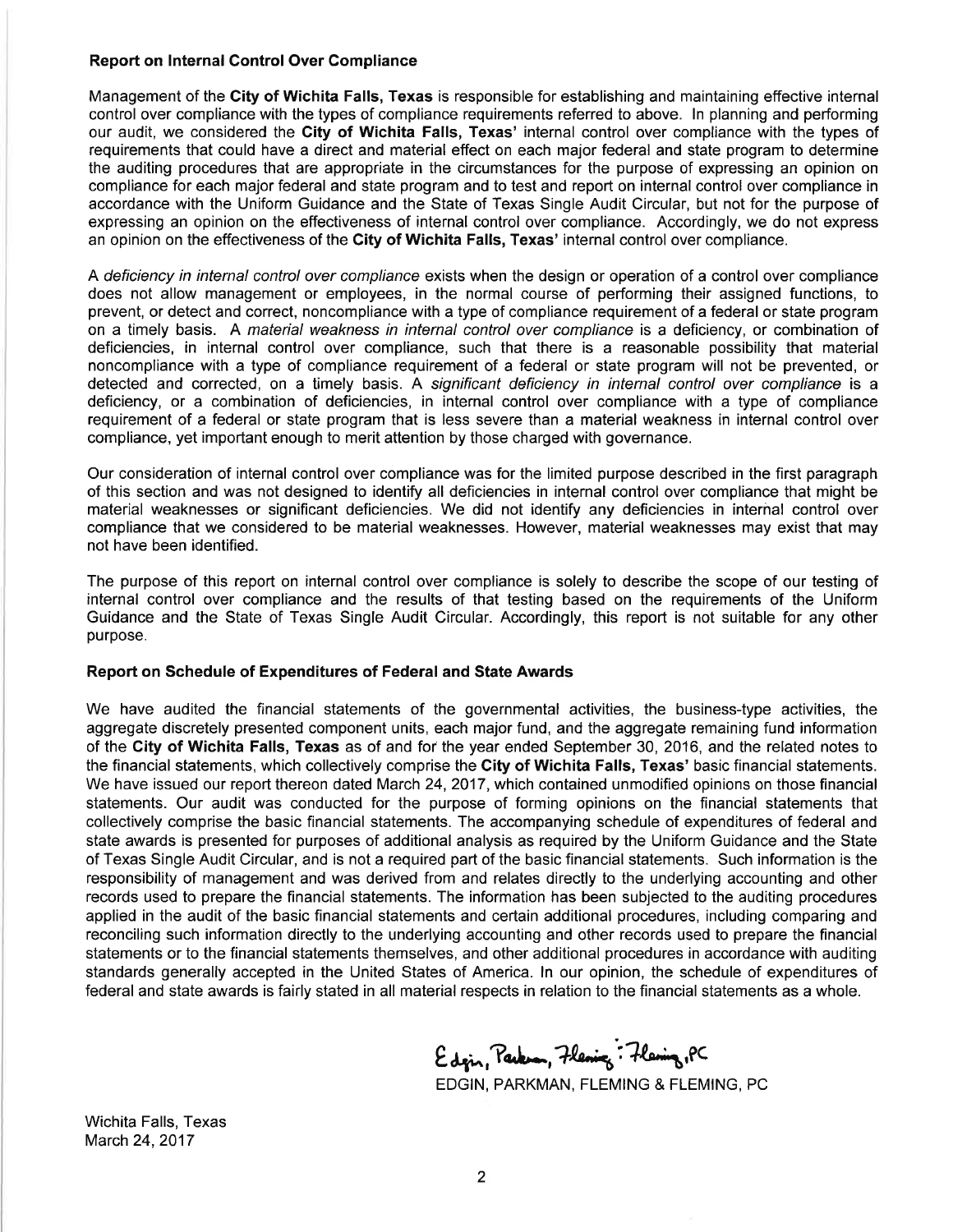#### Report on lnternal Control Over Compliance

Management of the City of Wichita Falls, Texas is responsible for establishing and maintaining effective internal control over compliance with the types of compliance requirements referred to above. ln planning and performing our audit, we considered the City of Wichita Falls, Texas' internal control over compliance with the types of requirements that could have a direct and material effect on each major federal and state program to determine the auditing procedures that are appropriate in the circumstances for the purpose of expressing an opinion on compliance for each major federal and state program and to test and report on internal control over compliance in accordance with the Uniform Guidance and the State of Texas Single Audit Circular, but not for the purpose of expressing an opinion on the effectiveness of internal control over compliance. Accordingly, we do not express an opinion on the effectiveness of the City of Wichita Falls, Texas' internal control over compliance.

A deficiency in internal control over compliance exists when the design or operation of a control over compliance does not allow management or employees, in the normal course of performing their assigned functions, to prevent, or detect and correct, noncompliance with a type of compliance requirement of a federal or state program on a timely basis. A material weakness in internal control over compliance is a deficiency, or combination of deficiencies, in internal control over compliance, such that there is a reasonable possibility that material noncompliance with a type of compliance requirement of a federal or state program will not be prevented, or detected and corrected, on a timely basis. A significant deficiency in internal control over compliance is a deficiency, or a combination of deficiencies, in internal control over compliance with a type of compliance requirement of a federal or state program that is less severe than a material weakness in internal control over compliance, yet important enough to merit attention by those charged with governance.

Our consideration of internal control over compliance was for the limited purpose described in the first paragraph of this section and was not designed to identify all deficiencies in internal control over compliance that might be material weaknesses or significant deficiencies. We did not identify any deficiencies in interñal control over compliance that we considered to be material weaknesses. However, material weaknesses may exist that may not have been identified.

The purpose of this report on internal control over compliance is solely to describe the scope of our testing of internal control over compliance and the results of that testing based on the requirements of the Uniform Guidance and the State of Texas Single Audit Circular. Accordingly, this report is not suitable for any other purpose.

#### Report on Schedule of Expenditures of Federal and State Awards

We have audited the financial statements of the governmental activities, the business-type activities, the aggregate discretely presented component units, each major fund, and the aggregate remaining fund information of the City of Wichita Falls, Texas as of and for the year ended September 30, 2016, and the related notes to the financial statements, which collectively comprise the City of Wichita Falls, Texas' basic financial statements. We have issued our report thereon dated March 24,2017, which contained unmodified opinions on those financial statements. Our audit was conducted for the purpose of forming opinions on the financial statements that collectively comprise the basic financial statements. The accompanying schedule of expenditures of federal and state awards is presented for purposes of additional analysis as required by the Uniform Guidance and the State of Texas Single Audit Circular, and is not a required part of the basic financial statements. Such information is the responsibility of management and was derived from and relates directly to the underlying accounting and other records used to prepare the financial statements. The information has been subjected to the auditing procedures applied in the audit of the basic financial statements and certain additional procedures, including comparing and reconciling such information directly to the underlying accounting and other records used to prepare the financial statements or to the financial statements themselves, and other additional procedures in accordance with auditing standards generally accepted in the United States of America. ln our opinion, the schedule of expenditures of federal and state awards is fairly stated in all material respects in relation to the financial statements as a whole.

Edgin, Parker, Flening : Flening, PC

EDGIN, PARKMAN, FLEMING & FLEMING, PC

Wichita Falls, Texas March 24,2017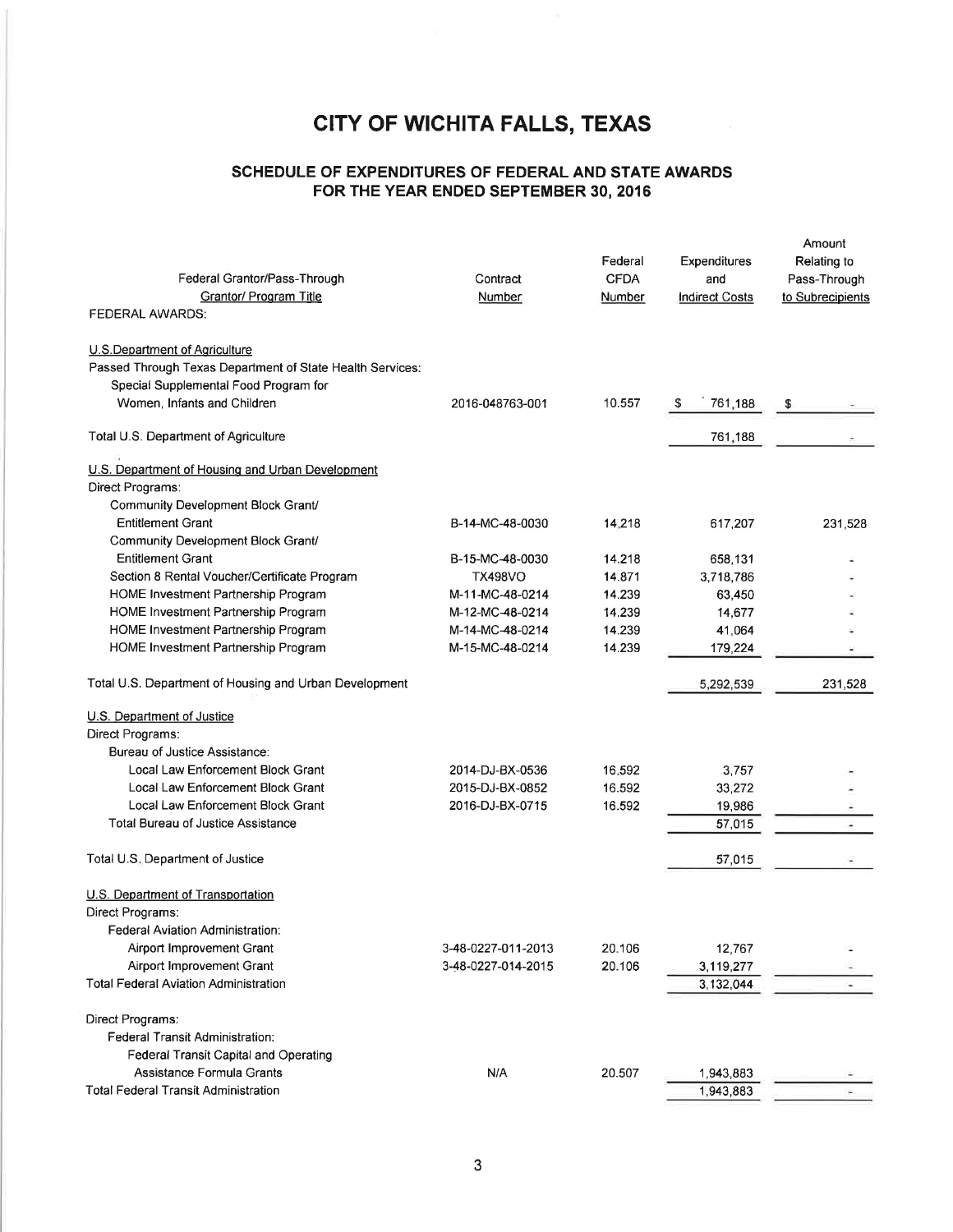## SCHEDULE OF EXPENDITURES OF FEDERAL AND STATE AWARDS FOR THE YEAR ENDED SEPTEMBER 30, 2016

| Federal Grantor/Pass-Through<br><b>Grantor/ Program Title</b><br>FEDERAL AWARDS: | Contract<br>Number                 | Federal<br><b>CFDA</b><br>Number | Expenditures<br>and<br><b>Indirect Costs</b> | Amount<br>Relating to<br>Pass-Through<br>to Subrecipients |
|----------------------------------------------------------------------------------|------------------------------------|----------------------------------|----------------------------------------------|-----------------------------------------------------------|
| U.S.Department of Agriculture                                                    |                                    |                                  |                                              |                                                           |
| Passed Through Texas Department of State Health Services:                        |                                    |                                  |                                              |                                                           |
| Special Supplemental Food Program for                                            |                                    |                                  |                                              |                                                           |
| Women, Infants and Children                                                      | 2016-048763-001                    | 10.557                           | \$<br>761,188                                | \$                                                        |
| Total U.S. Department of Agriculture                                             |                                    |                                  | 761,188                                      |                                                           |
| U.S. Department of Housing and Urban Development                                 |                                    |                                  |                                              |                                                           |
| Direct Programs:                                                                 |                                    |                                  |                                              |                                                           |
| Community Development Block Grant/                                               |                                    |                                  |                                              |                                                           |
| <b>Entitlement Grant</b>                                                         | B-14-MC-48-0030                    | 14.218                           | 617,207                                      | 231,528                                                   |
| Community Development Block Grant/                                               |                                    |                                  |                                              |                                                           |
| <b>Entitlement Grant</b>                                                         | B-15-MC-48-0030                    | 14.218                           | 658,131                                      |                                                           |
| Section 8 Rental Voucher/Certificate Program                                     | <b>TX498VO</b>                     | 14.871                           | 3,718,786                                    |                                                           |
| HOME Investment Partnership Program                                              | M-11-MC-48-0214                    | 14.239                           | 63,450                                       |                                                           |
| HOME Investment Partnership Program<br>HOME Investment Partnership Program       | M-12-MC-48-0214<br>M-14-MC-48-0214 | 14.239<br>14.239                 | 14,677<br>41,064                             |                                                           |
| HOME Investment Partnership Program                                              | M-15-MC-48-0214                    | 14.239                           | 179,224                                      |                                                           |
|                                                                                  |                                    |                                  |                                              |                                                           |
| Total U.S. Department of Housing and Urban Development                           |                                    |                                  | 5,292,539                                    | 231.528                                                   |
| U.S. Department of Justice                                                       |                                    |                                  |                                              |                                                           |
| Direct Programs:                                                                 |                                    |                                  |                                              |                                                           |
| Bureau of Justice Assistance:                                                    |                                    |                                  |                                              |                                                           |
| Local Law Enforcement Block Grant                                                | 2014-DJ-BX-0536                    | 16.592                           | 3,757                                        |                                                           |
| Local Law Enforcement Block Grant                                                | 2015-DJ-BX-0852                    | 16.592                           | 33,272                                       |                                                           |
| Local Law Enforcement Block Grant                                                | 2016-DJ-BX-0715                    | 16.592                           | 19,986                                       |                                                           |
| <b>Total Bureau of Justice Assistance</b>                                        |                                    |                                  | 57,015                                       |                                                           |
| Total U.S. Department of Justice                                                 |                                    |                                  | 57,015                                       |                                                           |
| U.S. Department of Transportation                                                |                                    |                                  |                                              |                                                           |
| Direct Programs:                                                                 |                                    |                                  |                                              |                                                           |
| Federal Aviation Administration:                                                 |                                    |                                  |                                              |                                                           |
| Airport Improvement Grant                                                        | 3-48-0227-011-2013                 | 20.106                           | 12,767                                       |                                                           |
| Airport Improvement Grant                                                        | 3-48-0227-014-2015                 | 20.106                           | 3,119,277                                    |                                                           |
| <b>Total Federal Aviation Administration</b>                                     |                                    |                                  | 3,132,044                                    |                                                           |
| Direct Programs:                                                                 |                                    |                                  |                                              |                                                           |
| Federal Transit Administration:                                                  |                                    |                                  |                                              |                                                           |
| Federal Transit Capital and Operating                                            |                                    |                                  |                                              |                                                           |
| Assistance Formula Grants                                                        | N/A                                | 20.507                           | 1,943,883                                    |                                                           |
| <b>Total Federal Transit Administration</b>                                      |                                    |                                  | 1,943,883                                    |                                                           |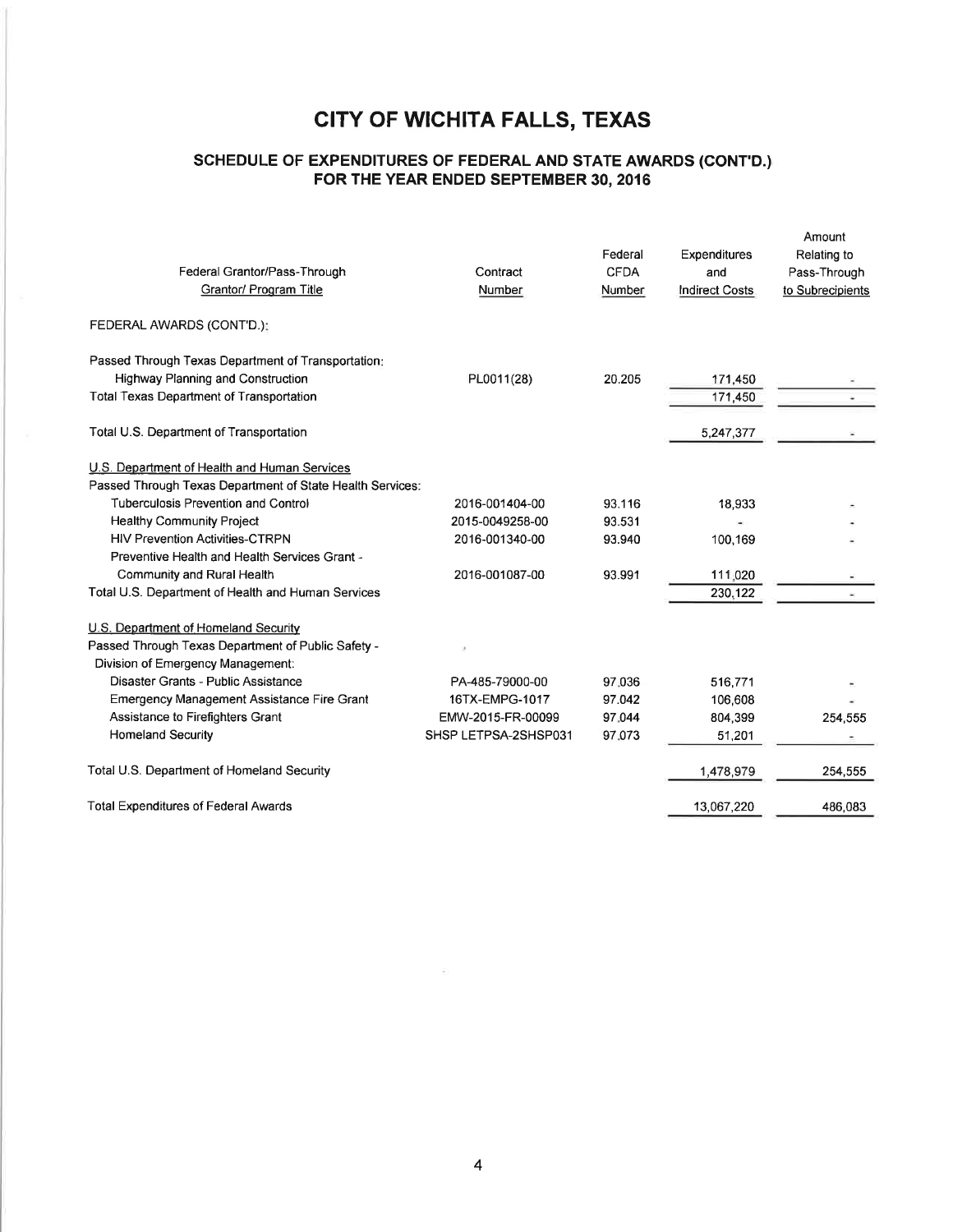## SCHEDULE OF EXPENDITURES OF FEDERAL AND STATE AWARDS (CONT'D.) FOR THE YEAR ENDED SEPTEMBER 30, 2016

| Federal Grantor/Pass-Through<br>Grantor/ Program Title    | Contract<br>Number   | Federal<br><b>CFDA</b><br>Number | Expenditures<br>and<br><b>Indirect Costs</b> | Amount<br>Relating to<br>Pass-Through<br>to Subrecipients |
|-----------------------------------------------------------|----------------------|----------------------------------|----------------------------------------------|-----------------------------------------------------------|
| FEDERAL AWARDS (CONT'D.):                                 |                      |                                  |                                              |                                                           |
| Passed Through Texas Department of Transportation:        |                      |                                  |                                              |                                                           |
| Highway Planning and Construction                         | PL0011(28)           | 20.205                           | 171,450                                      |                                                           |
| <b>Total Texas Department of Transportation</b>           |                      |                                  | 171,450                                      |                                                           |
| Total U.S. Department of Transportation                   |                      |                                  | 5,247,377                                    |                                                           |
| U.S. Department of Health and Human Services              |                      |                                  |                                              |                                                           |
| Passed Through Texas Department of State Health Services: |                      |                                  |                                              |                                                           |
| Tuberculosis Prevention and Control                       | 2016-001404-00       | 93.116                           | 18,933                                       |                                                           |
| <b>Healthy Community Project</b>                          | 2015-0049258-00      | 93.531                           |                                              |                                                           |
| <b>HIV Prevention Activities-CTRPN</b>                    | 2016-001340-00       | 93.940                           | 100,169                                      |                                                           |
| Preventive Health and Health Services Grant -             |                      |                                  |                                              |                                                           |
| Community and Rural Health                                | 2016-001087-00       | 93.991                           | 111.020                                      |                                                           |
| Total U.S. Department of Health and Human Services        |                      |                                  | 230,122                                      |                                                           |
| U.S. Department of Homeland Security                      |                      |                                  |                                              |                                                           |
| Passed Through Texas Department of Public Safety -        |                      |                                  |                                              |                                                           |
| Division of Emergency Management:                         |                      |                                  |                                              |                                                           |
| Disaster Grants - Public Assistance                       | PA-485-79000-00      | 97.036                           | 516,771                                      |                                                           |
| <b>Emergency Management Assistance Fire Grant</b>         | 16TX-EMPG-1017       | 97.042                           | 106,608                                      |                                                           |
| Assistance to Firefighters Grant                          | EMW-2015-FR-00099    | 97.044                           | 804,399                                      | 254,555                                                   |
| <b>Homeland Security</b>                                  | SHSP LETPSA-2SHSP031 | 97.073                           | 51,201                                       |                                                           |
| Total U.S. Department of Homeland Security                |                      |                                  | 1,478,979                                    | 254,555                                                   |
| <b>Total Expenditures of Federal Awards</b>               |                      |                                  | 13,067,220                                   | 486,083                                                   |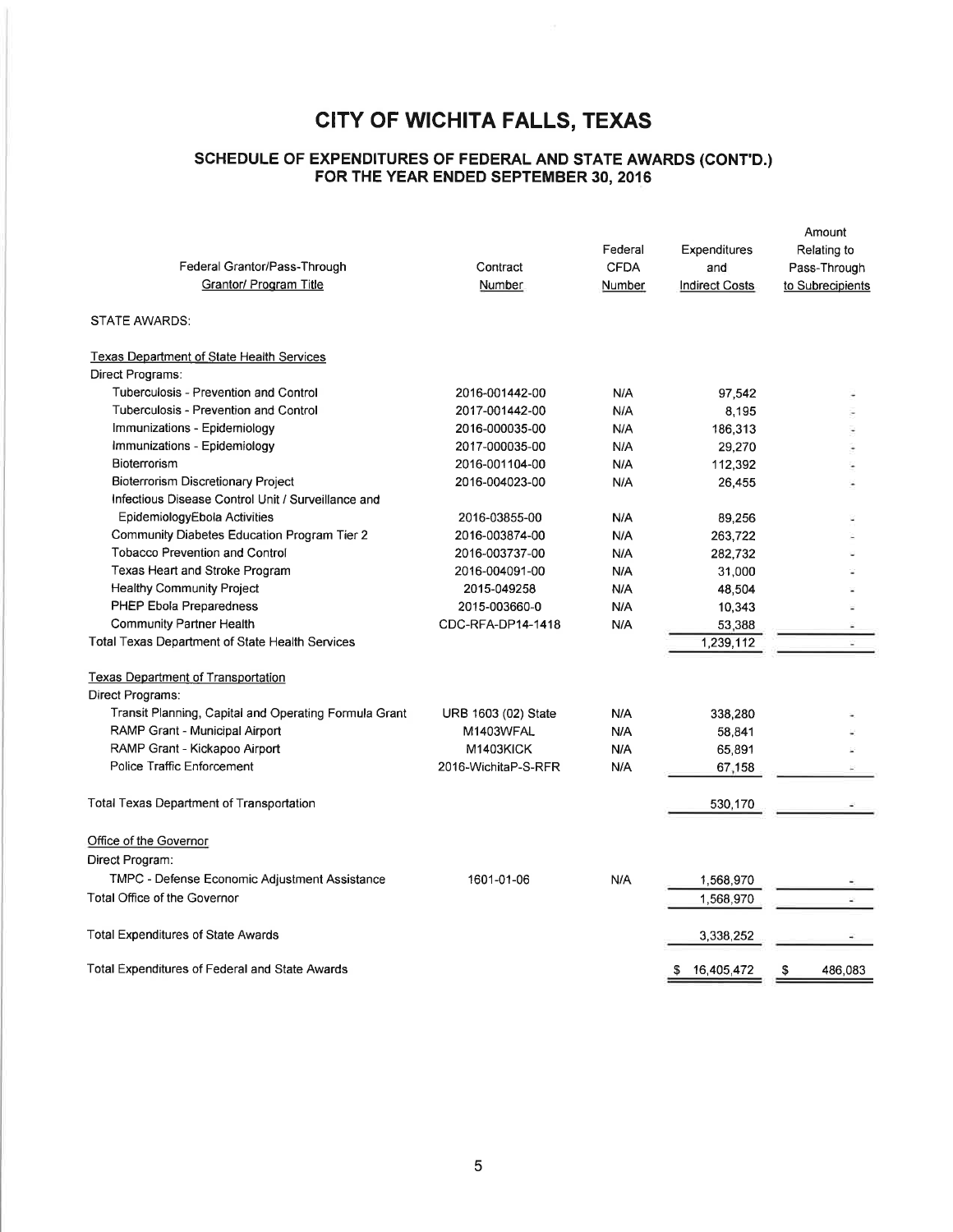#### SCHEDULE OF EXPENDTTURES OF FEDERAL AND STATE AWARDS (CONT'D.) FOR THE YEAR ENDED SEPTEMBER 30,2016

| Federal Grantor/Pass-Through<br>Grantor/ Program Title | Contract<br>Number  | Federal<br><b>CFDA</b><br>Number | Expenditures<br>and<br><b>Indirect Costs</b> | Amount<br>Relating to<br>Pass-Through<br>to Subrecipients |
|--------------------------------------------------------|---------------------|----------------------------------|----------------------------------------------|-----------------------------------------------------------|
| STATE AWARDS:                                          |                     |                                  |                                              |                                                           |
| <b>Texas Department of State Health Services</b>       |                     |                                  |                                              |                                                           |
| Direct Programs:                                       |                     |                                  |                                              |                                                           |
| Tuberculosis - Prevention and Control                  | 2016-001442-00      | N/A                              | 97,542                                       |                                                           |
| Tuberculosis - Prevention and Control                  | 2017-001442-00      | <b>N/A</b>                       | 8,195                                        |                                                           |
| Immunizations - Epidemiology                           | 2016-000035-00      | N/A                              | 186,313                                      |                                                           |
| Immunizations - Epidemiology                           | 2017-000035-00      | N/A                              | 29,270                                       |                                                           |
| Bioterrorism                                           | 2016-001104-00      | N/A                              | 112,392                                      |                                                           |
| <b>Bioterrorism Discretionary Project</b>              | 2016-004023-00      | N/A                              | 26,455                                       |                                                           |
| Infectious Disease Control Unit / Surveillance and     |                     |                                  |                                              |                                                           |
| EpidemiologyEbola Activities                           | 2016-03855-00       | N/A                              | 89,256                                       |                                                           |
| Community Diabetes Education Program Tier 2            | 2016-003874-00      | N/A                              | 263,722                                      |                                                           |
| <b>Tobacco Prevention and Control</b>                  | 2016-003737-00      | N/A                              | 282,732                                      |                                                           |
| Texas Heart and Stroke Program                         | 2016-004091-00      | N/A                              | 31,000                                       |                                                           |
| <b>Healthy Community Project</b>                       | 2015-049258         | N/A                              | 48,504                                       |                                                           |
| PHEP Ebola Preparedness                                | 2015-003660-0       | N/A                              | 10,343                                       |                                                           |
| Community Partner Health                               | CDC-RFA-DP14-1418   | N/A                              | 53,388                                       |                                                           |
| Total Texas Department of State Health Services        |                     |                                  | 1,239,112                                    |                                                           |
| <b>Texas Department of Transportation</b>              |                     |                                  |                                              |                                                           |
| Direct Programs:                                       |                     |                                  |                                              |                                                           |
| Transit Planning, Capital and Operating Formula Grant  | URB 1603 (02) State | N/A                              | 338,280                                      |                                                           |
| RAMP Grant - Municipal Airport                         | M1403WFAL           | N/A                              | 58,841                                       |                                                           |
| RAMP Grant - Kickapoo Airport                          | M1403KICK           | N/A                              | 65,891                                       |                                                           |
| Police Traffic Enforcement                             | 2016-WichitaP-S-RFR | N/A                              | 67,158                                       |                                                           |
| <b>Total Texas Department of Transportation</b>        |                     |                                  | 530,170                                      |                                                           |
| Office of the Governor                                 |                     |                                  |                                              |                                                           |
| Direct Program:                                        |                     |                                  |                                              |                                                           |
| TMPC - Defense Economic Adjustment Assistance          | 1601-01-06          | N/A                              | 1,568,970                                    |                                                           |
| Total Office of the Governor                           |                     |                                  | 1,568,970                                    |                                                           |
| <b>Total Expenditures of State Awards</b>              |                     |                                  | 3,338,252                                    |                                                           |
| Total Expenditures of Federal and State Awards         |                     |                                  | 16,405,472<br>\$                             | \$<br>486,083                                             |
|                                                        |                     |                                  |                                              |                                                           |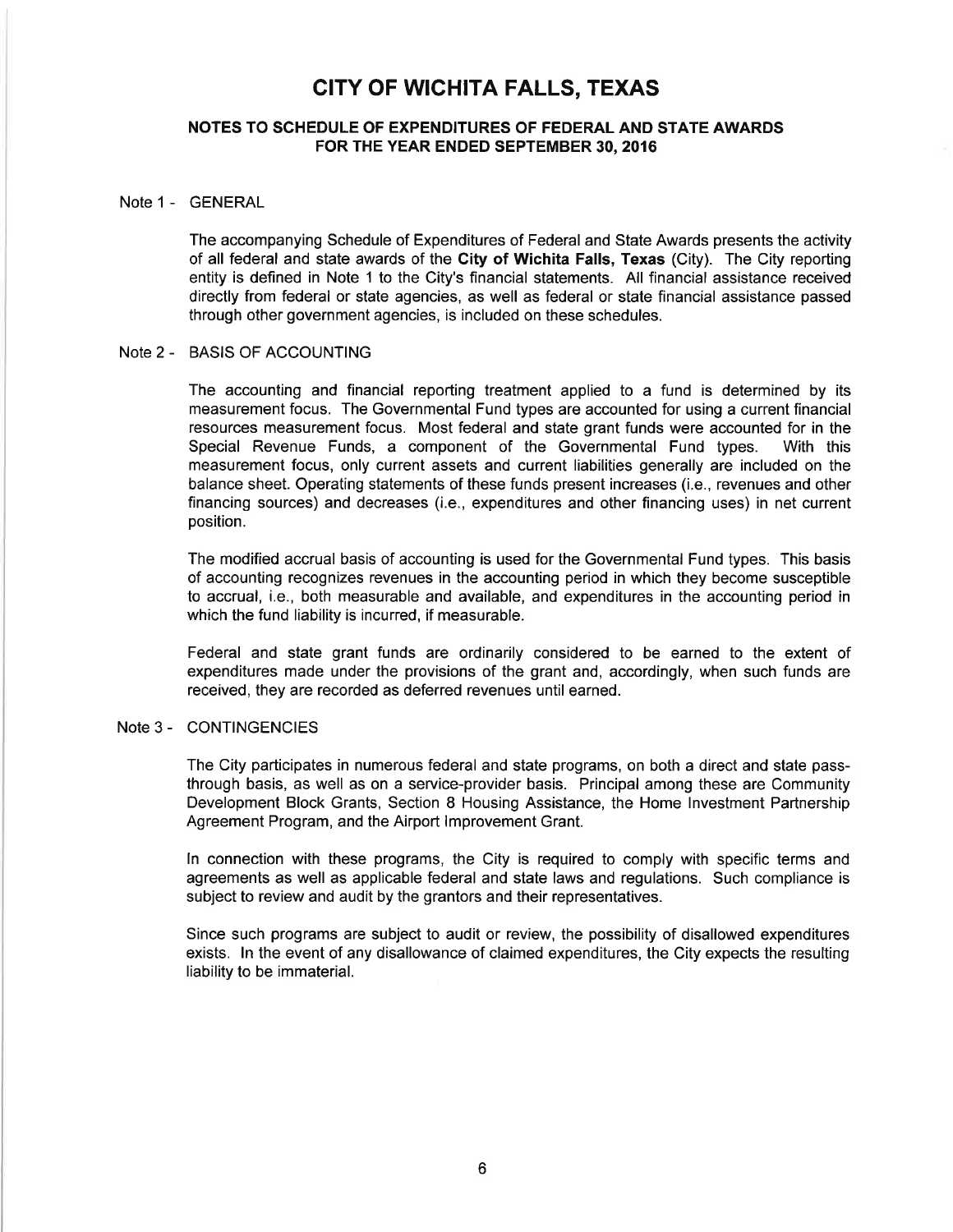#### NOTES TO SCHEDULE OF EXPENDITURES OF FEDERAL AND STATE AWARDS FOR THE YEAR ENDED SEPTEMBER 30,2016

#### Note 1 - GENERAL

The accompanying Schedule of Expenditures of Federal and State Awards presents the activity of all federal and state awards of the Gity of Wichita Falls, Texas (City). The City reporting entity is defined in Note 1 to the City's financial statements. All financial assistance received directly from federal or state agencies, as well as federal or state financial assistance passed through other government agencies, is included on these schedules.

#### Note 2 - BASIS OF ACCOUNTING

The accounting and financial reporting treatment applied to a fund is determined by its measurement focus. The Governmental Fund types are accounted for using a current financial resources measurement focus. Most federal and state grant funds were accounted for in the Special Revenue Funds, a component of the Governmental Fund types. With this Special Revenue Funds, a component of the Governmental Fund types. measurement focus, only current assets and current liabilities generally are included on the balance sheet. Operating statements of these funds present increases (i.e., revenues and other financing sources) and decreases (i.e., expenditures and other financing uses) in net current position.

The modified accrual basis of accounting is used for the Governmental Fund types. This basis of accounting recognizes revenues in the accounting period in which they become susceptible to accrual, i.e., both measurable and available, and expenditures in the accounting period in which the fund liability is incurred, if measurable.

Federal and state grant funds are ordinarily considered to be earned to the extent of expenditures made under the provisions of the grant and, accordingly, when such funds are received, they are recorded as deferred revenues until earned.

#### Note 3 - CONTINGENCIES

The City participates in numerous federal and state programs, on both a direct and state passthrough basis, as well as on a service-provider basis. Principal among these are Community Development Block Grants, Section 8 Housing Assistance, the Home lnvestment Partnership Agreement Program, and the Airport lmprovement Grant.

ln connection with these programs, the City is required to comply with specific terms and agreements as well as applicable federal and state laws and regulations. Such compliance is subject to review and audit by the grantors and their representatives.

Since such programs are subject to audit or review, the possibility of disallowed expenditures exists. ln the event of any disallowance of claimed expenditures, the City expects the resulting liability to be immaterial.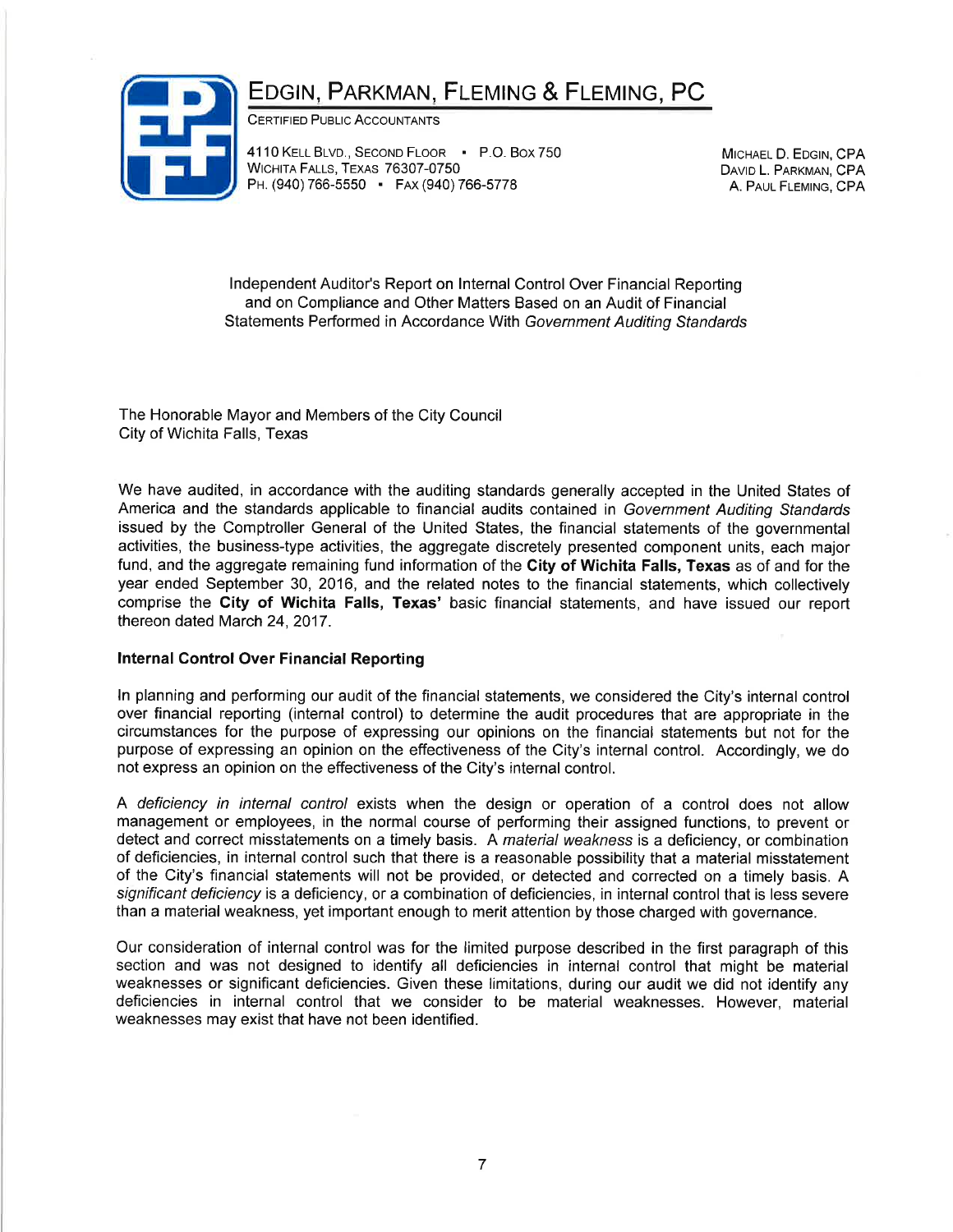# EDGIN, PARKMAN, FLEMING & FLEMING, PC



CERTIFIED PUBLIC ACCOUNTANTS

4110 KELL BLVD., SECOND FLOOR . P.O. Box 750 WICHITA FALLS, TEXAS 76307-0750 PH. (940) 766-5550 · FAX (940) 766-5778

MICHAEL D. EDGIN, CPA DAVID L. PARKMAN, CPA A. PAUL FLEMING, CPA

lndependent Auditor's Report on lnternal Control Over Financíal Reporting and on Compliance and Other Matters Based on an Audit of Financial Statements Performed in Accordance With Government Auditing Standards

The Honorable Mayor and Members of the City Council City of Wichita Falls, Texas

We have audited, in accordance with the auditing standards generally accepted in the United States of America and the standards applicable to financial audits contained in Government Auditing Standards issued by the Comptroller General of the United States, the financial statements of the governmental activities, the business-type activities, the aggregate discretely presented component units, each major fund, and the aggregate remaining fund information of the City of Wichita Falls, Texas as of and for the year ended September 30, 2016, and the related notes to the financial statements, which collectively comprise the City of Wichita Falls, Texas' basíc financial statements, and have issued our report thereon dated March 24, 2017.

### Internal Gontrol Over Financial Reporting

ln planning and performing our audit of the financial statements, we considered the City's internal control over financial reporting (internal control) to determine the audit procedures that are appropriate in the circumstances for the purpose of expressing our opinions on the financial statements but not for the purpose of expressing an opinion on the effectiveness of the City's internal control. Accordingly, we do not express an opinion on the effectiveness of the City's internal control.

A deficiency in internal control exists when the design or operation of a control does not allow management or employees, in the normal course of performing their assigned functions, to prevent or detect and correct misstatements on a timely basis. A material weakness is a deficiency, or combination of deficiencies, in internal control such that there is a reasonable possibility that a material misstatement of the City's financial statements will not be provided, or detected and corrected on a timely basis. A significant deficiency is a deficiency, or a combination of deficiencies, in internal control that is less severe than a materialweakness, yet important enough to merit attention by those charged with governance.

Our consideration of internal control was for the limited purpose described in the first paragraph of this section and was not designed to identify all deficiencies in internal control that might be material weaknesses or significant deficiencies. Given these limitations, during our audit we did not identify any deficiencies in internal control that we consider to be material weaknesses. However, material weaknesses may exist that have not been identified.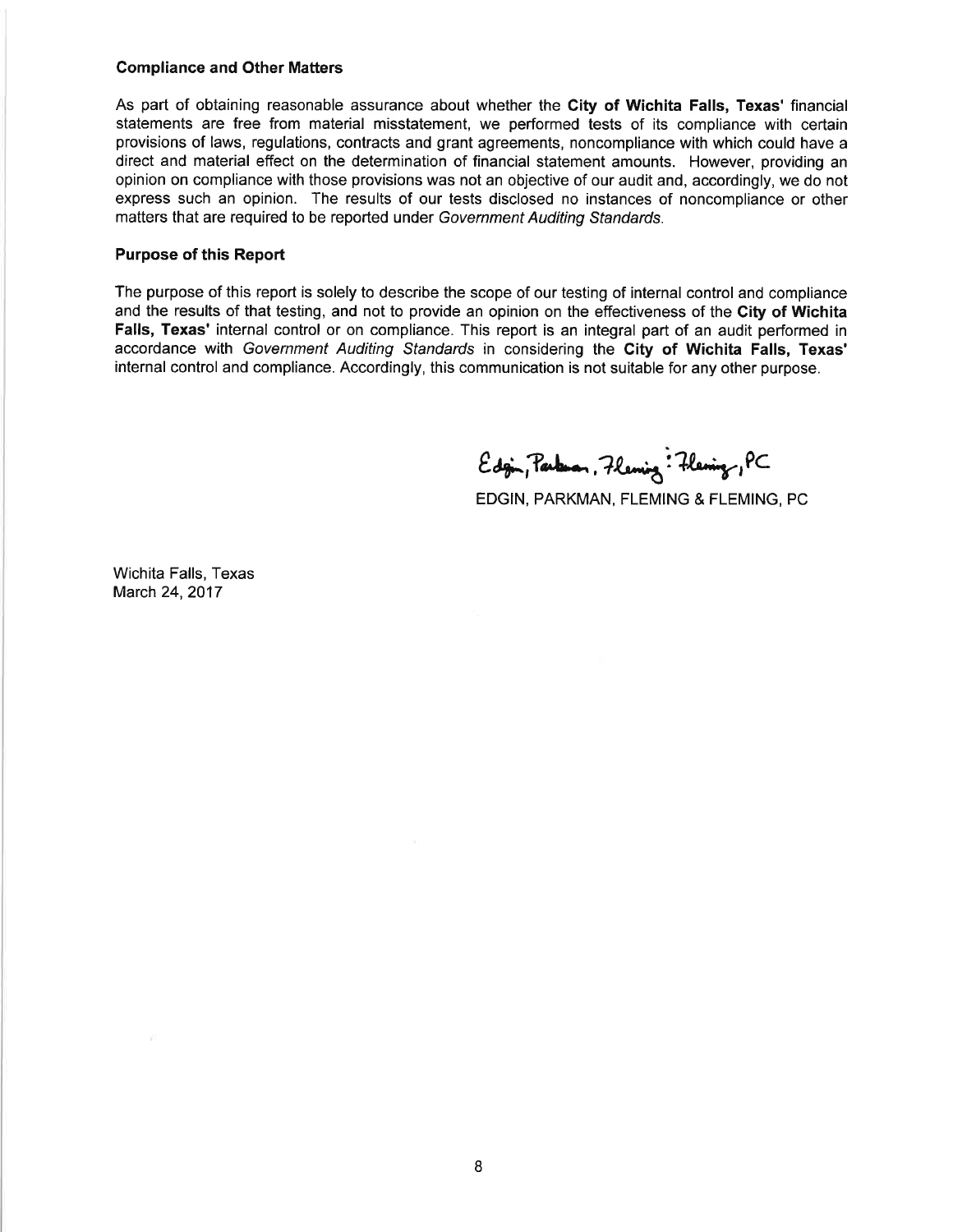#### Compliance and Other Matters

As part of obtaining reasonable assurance about whether the City of Wichita Falls, Texas' financial statements are free from material misstatement, we performed tests of its compliance with certain provisions of laws, regulations, contracts and grant agreements, noncompliance with which could have a direct and material effect on the determination of financial statement amounts. However, providing an opinion on compliance with those provisions was not an objective of our audit and, accordingly, we do not express such an opinion. The results of our tests disclosed no instances of noncompliance or other matters that are required to be reported under Government Auditing Sfandards.

#### Purpose of this Report

The purpose of this report is solely to describe the scope of our testing of internal control and compliance and the results of that testing, and not to provide an opinion on the effectiveness of the City of Wichita Falls, Texas' internal control or on compliance. This report is an integral part of an audit performed in accordance with Government Auditing Standards in considering the City of Wichita Falls, Texas' internal control and compliance. Accordingly, this communication is not suitable for any other purpose.

 $Edg$ in, Parken, Fleming: Fleming, PC

EDGIN, PARKMAN, FLEMING & FLEMING, PC

Wichita Falls, Texas March 24,2017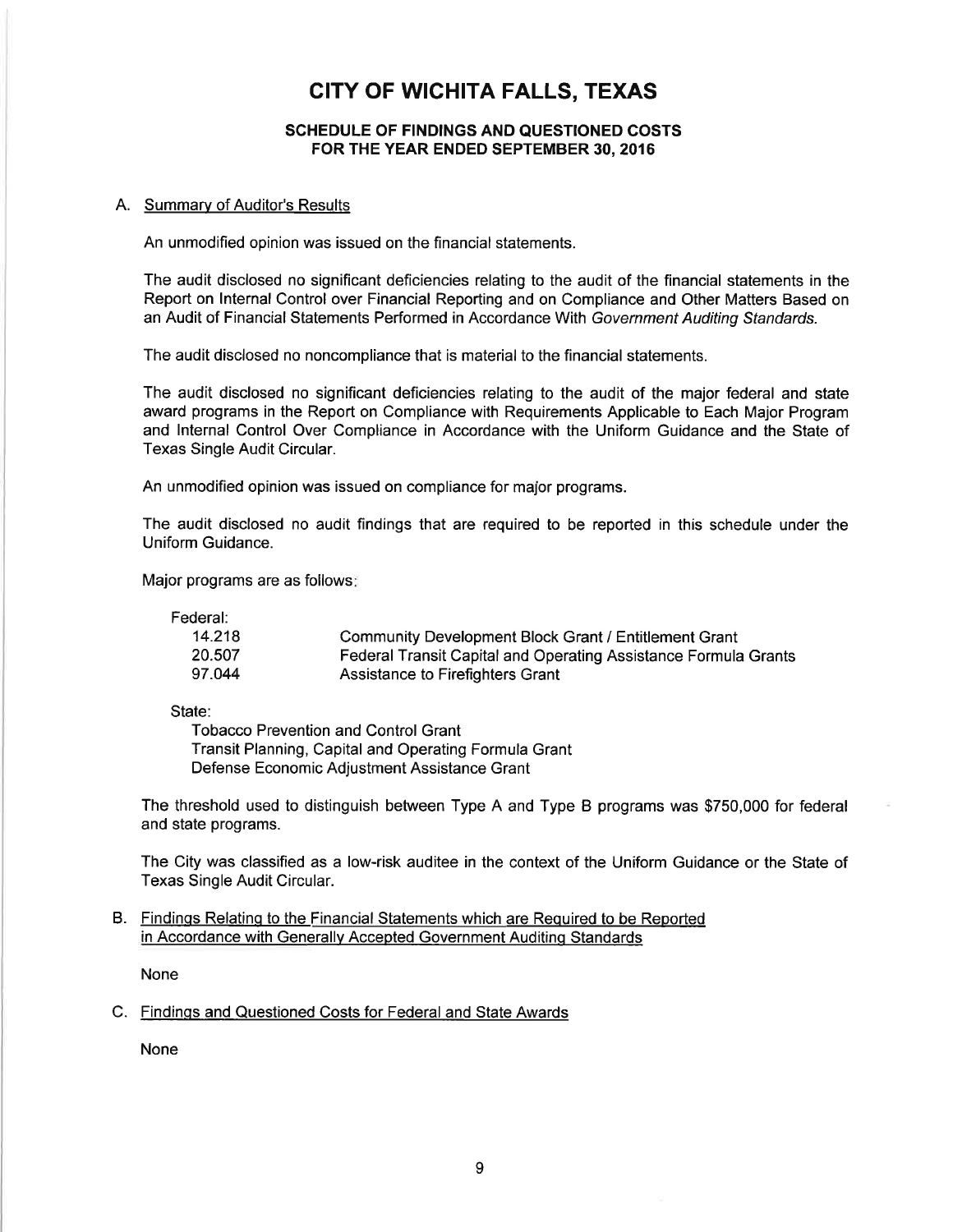#### SCHEDULE OF FINDINGS AND QUESTIONED COSTS FOR THE YEAR ENDED SEPTEMBER 30,2016

#### A. Summary of Auditor's Results

An unmodified opinion was issued on the financial statements.

The audit disclosed no significant deficiencies relating to the audit of the financial statements in the Report on lnternal Control over Financial Reporting and on Compliance and Other Matters Based on an Audit of Financial Statements Performed in Accordance With Government Auditing Sfandards.

The audit disclosed no noncompliance that is material to the financial statements.

The audit disclosed no significant deficiencies relating to the audit of the major federal and state award programs in the Report on Compliance with Requirements Applicable to Each Major Program and lnternal Control Over Compliance in Accordance with the Uniform Guidance and the State of Texas Single Audit Circular.

An unmodified opinion was issued on compliance for major programs.

The audit disclosed no audit findings that are required to be reported in this schedule under the Uniform Guidance.

Major programs are as follows

Federal:

| 14.218 | <b>Community Development Block Grant / Entitlement Grant</b>           |
|--------|------------------------------------------------------------------------|
| 20.507 | <b>Federal Transit Capital and Operating Assistance Formula Grants</b> |
| 97.044 | Assistance to Firefighters Grant                                       |

State:

Tobacco Prevention and Control Grant Transit Planning, Capital and Operating Formula Grant Defense Economic Adjustment Assistance Grant

The threshold used to distinguish between Type A and Type B programs was \$750,000 for federal and state programs.

The City was classified as a low-risk auditee in the context of the Uniform Guidance or the State of Texas Single Audit Circular.

#### B. Findinqs Relatinq to the Financial Statements which are Required to be Reported in Accordance with Generallv Accepted Government Auditinq Standards

None

#### C. Findings and Questioned Costs for Federal and State Awards

None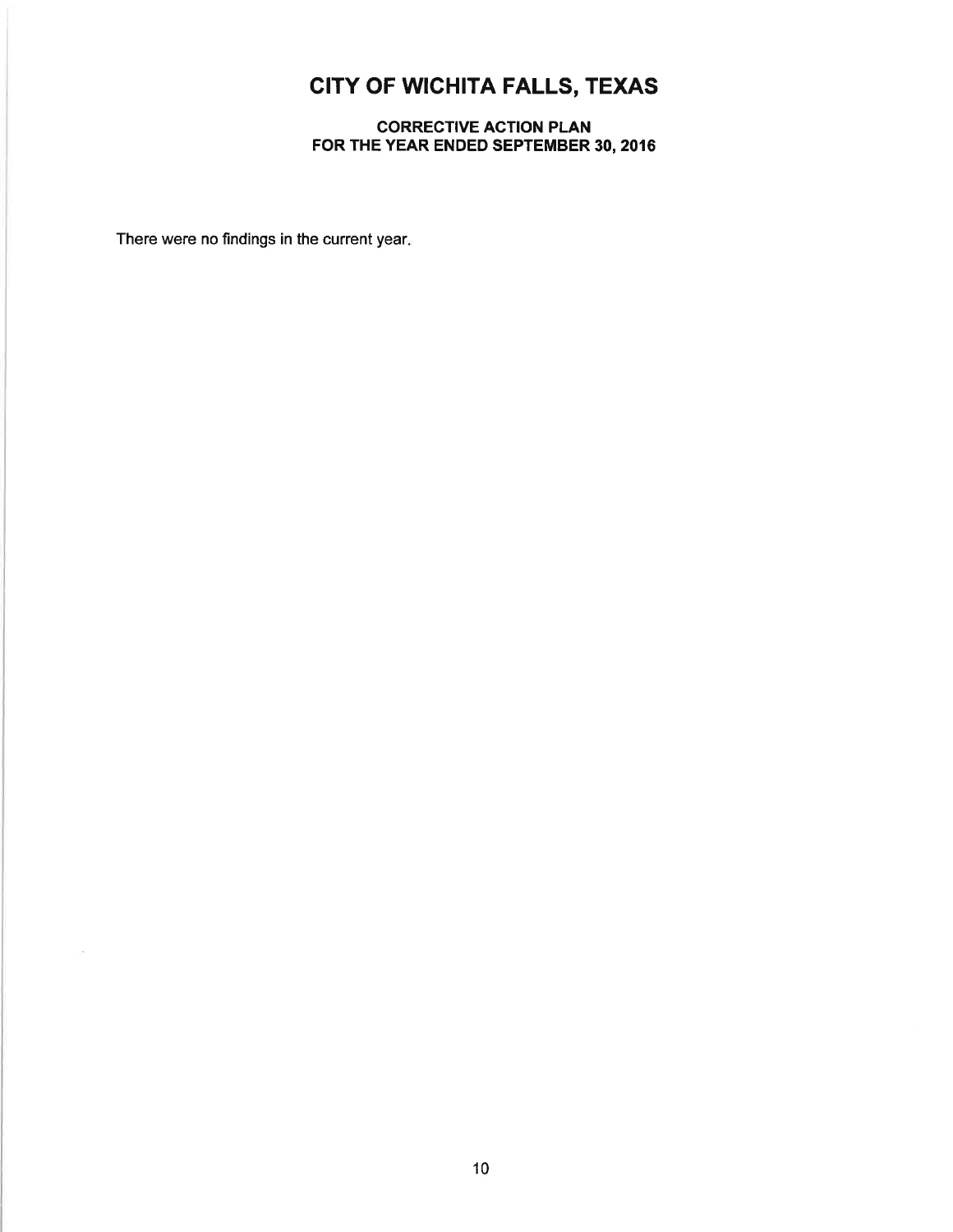### CORRECTIVE ACTION PLAN FOR THE YEAR ENDED SEPTEMBER 30,2016

There were no findings in the current year.

 $\sim$